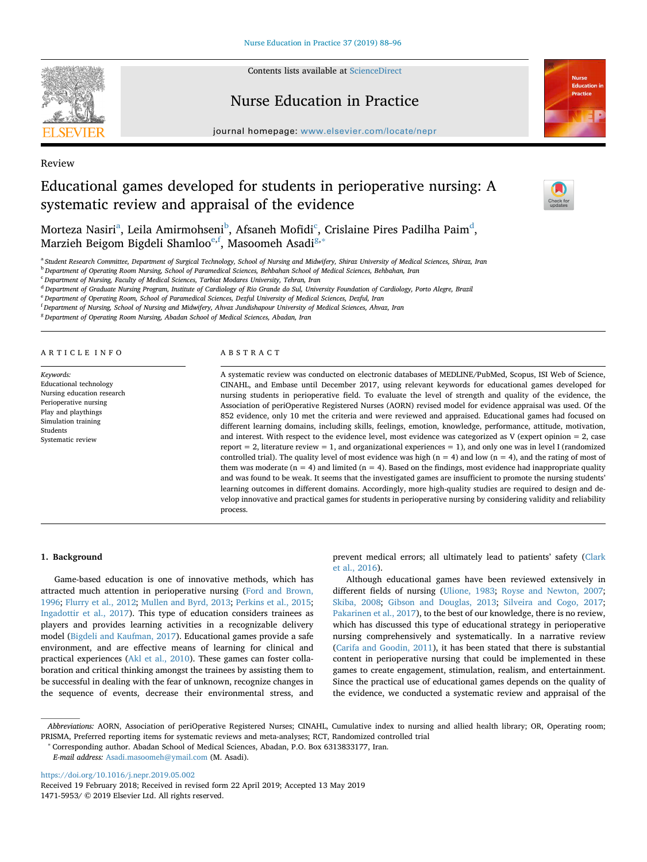

Contents lists available at [ScienceDirect](http://www.sciencedirect.com/science/journal/14715953)

## Nurse Education in Practice





Review

# Educational games developed for students in perioperative nursing: A systematic review and appraisal of the evidence



Mortez[a](#page-0-0) Nasiri<sup>a</sup>, Leila Amirmohseni<sup>[b](#page-0-1)</sup>, Afsaneh Mofidi<sup>[c](#page-0-2)</sup>, Crislaine Pires Pa[d](#page-0-3)ilha Paim<sup>d</sup>, Marzieh Beigom Bigdeli Shamloo<sup>e,[f](#page-0-5)</sup>, Masoomeh Asadi<sup>[g,](#page-0-6)[∗](#page-0-7)</sup>

<span id="page-0-0"></span><sup>a</sup> *Student Research Committee, Department of Surgical Technology, School of Nursing and Midwifery, Shiraz University of Medical Sciences, Shiraz, Iran*

<span id="page-0-1"></span><sup>b</sup> *Department of Operating Room Nursing, School of Paramedical Sciences, Behbahan School of Medical Sciences, Behbahan, Iran*

<span id="page-0-2"></span><sup>c</sup> *Department of Nursing, Faculty of Medical Sciences, Tarbiat Modares University, Tehran, Iran*

<span id="page-0-3"></span><sup>d</sup> *Department of Graduate Nursing Program, Institute of Cardiology of Rio Grande do Sul, University Foundation of Cardiology, Porto Alegre, Brazil*

<span id="page-0-4"></span><sup>e</sup> *Department of Operating Room, School of Paramedical Sciences, Dezful University of Medical Sciences, Dezful, Iran*

<span id="page-0-5"></span>f *Department of Nursing, School of Nursing and Midwifery, Ahvaz Jundishapour University of Medical Sciences, Ahvaz, Iran*

<span id="page-0-6"></span><sup>g</sup> *Department of Operating Room Nursing, Abadan School of Medical Sciences, Abadan, Iran*

#### ARTICLE INFO

*Keywords:* Educational technology Nursing education research Perioperative nursing Play and playthings Simulation training Students Systematic review

#### ABSTRACT

A systematic review was conducted on electronic databases of MEDLINE/PubMed, Scopus, ISI Web of Science, CINAHL, and Embase until December 2017, using relevant keywords for educational games developed for nursing students in perioperative field. To evaluate the level of strength and quality of the evidence, the Association of periOperative Registered Nurses (AORN) revised model for evidence appraisal was used. Of the 852 evidence, only 10 met the criteria and were reviewed and appraised. Educational games had focused on different learning domains, including skills, feelings, emotion, knowledge, performance, attitude, motivation, and interest. With respect to the evidence level, most evidence was categorized as V (expert opinion = 2, case report = 2, literature review = 1, and organizational experiences = 1), and only one was in level I (randomized controlled trial). The quality level of most evidence was high  $(n = 4)$  and low  $(n = 4)$ , and the rating of most of them was moderate ( $n = 4$ ) and limited ( $n = 4$ ). Based on the findings, most evidence had inappropriate quality and was found to be weak. It seems that the investigated games are insufficient to promote the nursing students' learning outcomes in different domains. Accordingly, more high-quality studies are required to design and develop innovative and practical games for students in perioperative nursing by considering validity and reliability process.

## **1. Background**

Game-based education is one of innovative methods, which has attracted much attention in perioperative nursing ([Ford and Brown,](#page-8-0) [1996;](#page-8-0) [Flurry et al., 2012](#page-8-1); [Mullen and Byrd, 2013](#page-8-2); [Perkins et al., 2015](#page-8-3); [Ingadottir et al., 2017\)](#page-8-4). This type of education considers trainees as players and provides learning activities in a recognizable delivery model [\(Bigdeli and Kaufman, 2017](#page-8-5)). Educational games provide a safe environment, and are effective means of learning for clinical and practical experiences [\(Akl et al., 2010\)](#page-8-6). These games can foster collaboration and critical thinking amongst the trainees by assisting them to be successful in dealing with the fear of unknown, recognize changes in the sequence of events, decrease their environmental stress, and prevent medical errors; all ultimately lead to patients' safety ([Clark](#page-8-7) [et al., 2016](#page-8-7)).

Although educational games have been reviewed extensively in different fields of nursing [\(Ulione, 1983;](#page-8-8) [Royse and Newton, 2007](#page-8-9); [Skiba, 2008;](#page-8-10) [Gibson and Douglas, 2013](#page-8-11); [Silveira and Cogo, 2017](#page-8-12); [Pakarinen et al., 2017](#page-8-13)), to the best of our knowledge, there is no review, which has discussed this type of educational strategy in perioperative nursing comprehensively and systematically. In a narrative review ([Carifa and Goodin, 2011](#page-8-14)), it has been stated that there is substantial content in perioperative nursing that could be implemented in these games to create engagement, stimulation, realism, and entertainment. Since the practical use of educational games depends on the quality of the evidence, we conducted a systematic review and appraisal of the

<span id="page-0-7"></span><sup>∗</sup> Corresponding author. Abadan School of Medical Sciences, Abadan, P.O. Box 6313833177, Iran.

*E-mail address:* [Asadi.masoomeh@ymail.com](mailto:Asadi.masoomeh@ymail.com) (M. Asadi).

<https://doi.org/10.1016/j.nepr.2019.05.002>

*Abbreviations:* AORN, Association of periOperative Registered Nurses; CINAHL, Cumulative index to nursing and allied health library; OR, Operating room; PRISMA, Preferred reporting items for systematic reviews and meta-analyses; RCT, Randomized controlled trial

Received 19 February 2018; Received in revised form 22 April 2019; Accepted 13 May 2019

<sup>1471-5953/ © 2019</sup> Elsevier Ltd. All rights reserved.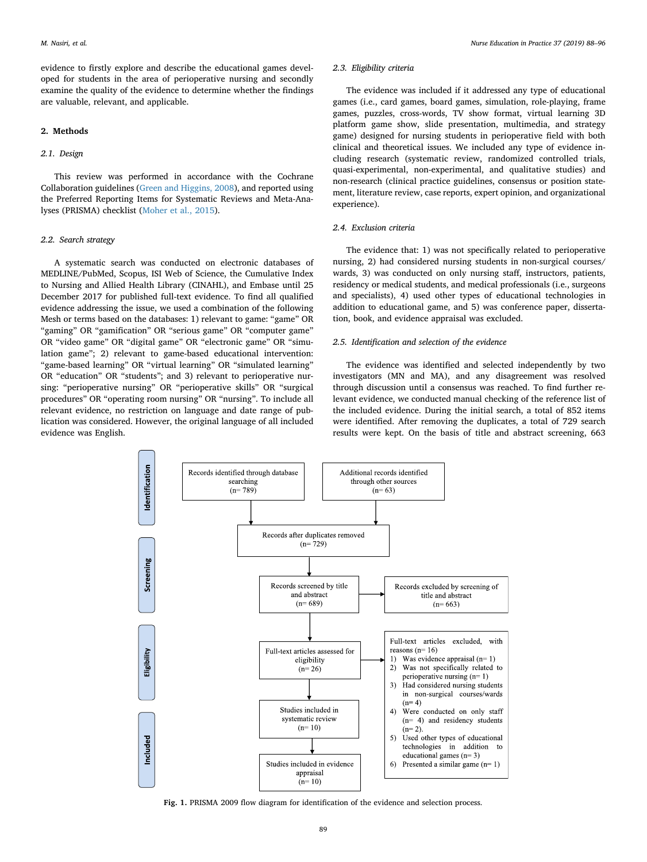evidence to firstly explore and describe the educational games developed for students in the area of perioperative nursing and secondly examine the quality of the evidence to determine whether the findings are valuable, relevant, and applicable.

#### **2. Methods**

#### *2.1. Design*

This review was performed in accordance with the Cochrane Collaboration guidelines ([Green and Higgins, 2008\)](#page-8-15), and reported using the Preferred Reporting Items for Systematic Reviews and Meta-Analyses (PRISMA) checklist [\(Moher et al., 2015\)](#page-8-16).

#### *2.2. Search strategy*

A systematic search was conducted on electronic databases of MEDLINE/PubMed, Scopus, ISI Web of Science, the Cumulative Index to Nursing and Allied Health Library (CINAHL), and Embase until 25 December 2017 for published full-text evidence. To find all qualified evidence addressing the issue, we used a combination of the following Mesh or terms based on the databases: 1) relevant to game: "game" OR "gaming" OR "gamification" OR "serious game" OR "computer game" OR "video game" OR "digital game" OR "electronic game" OR "simulation game"; 2) relevant to game-based educational intervention: "game-based learning" OR "virtual learning" OR "simulated learning" OR "education" OR "students"; and 3) relevant to perioperative nursing: "perioperative nursing" OR "perioperative skills" OR "surgical procedures" OR "operating room nursing" OR "nursing". To include all relevant evidence, no restriction on language and date range of publication was considered. However, the original language of all included evidence was English.

## *2.3. Eligibility criteria*

The evidence was included if it addressed any type of educational games (i.e., card games, board games, simulation, role-playing, frame games, puzzles, cross-words, TV show format, virtual learning 3D platform game show, slide presentation, multimedia, and strategy game) designed for nursing students in perioperative field with both clinical and theoretical issues. We included any type of evidence including research (systematic review, randomized controlled trials, quasi-experimental, non-experimental, and qualitative studies) and non-research (clinical practice guidelines, consensus or position statement, literature review, case reports, expert opinion, and organizational experience).

## *2.4. Exclusion criteria*

The evidence that: 1) was not specifically related to perioperative nursing, 2) had considered nursing students in non-surgical courses/ wards, 3) was conducted on only nursing staff, instructors, patients, residency or medical students, and medical professionals (i.e., surgeons and specialists), 4) used other types of educational technologies in addition to educational game, and 5) was conference paper, dissertation, book, and evidence appraisal was excluded.

## *2.5. Identification and selection of the evidence*

The evidence was identified and selected independently by two investigators (MN and MA), and any disagreement was resolved through discussion until a consensus was reached. To find further relevant evidence, we conducted manual checking of the reference list of the included evidence. During the initial search, a total of 852 items were identified. After removing the duplicates, a total of 729 search results were kept. On the basis of title and abstract screening, 663

<span id="page-1-0"></span>

**Fig. 1.** PRISMA 2009 flow diagram for identification of the evidence and selection process.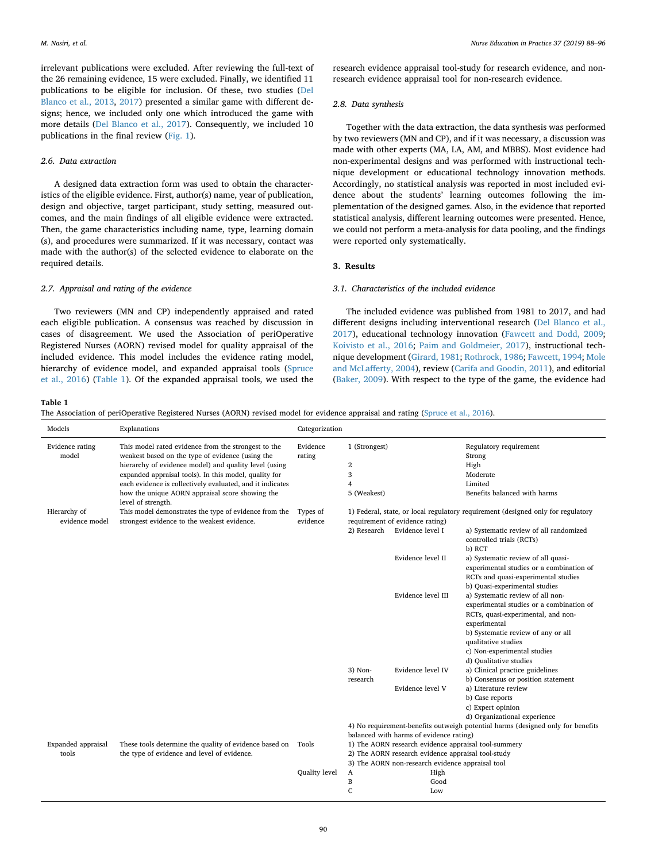irrelevant publications were excluded. After reviewing the full-text of the 26 remaining evidence, 15 were excluded. Finally, we identified 11 publications to be eligible for inclusion. Of these, two studies ([Del](#page-8-17) [Blanco et al., 2013](#page-8-17), [2017\)](#page-8-18) presented a similar game with different designs; hence, we included only one which introduced the game with more details [\(Del Blanco et al., 2017\)](#page-8-18). Consequently, we included 10 publications in the final review ([Fig. 1](#page-1-0)).

## *2.6. Data extraction*

A designed data extraction form was used to obtain the characteristics of the eligible evidence. First, author(s) name, year of publication, design and objective, target participant, study setting, measured outcomes, and the main findings of all eligible evidence were extracted. Then, the game characteristics including name, type, learning domain (s), and procedures were summarized. If it was necessary, contact was made with the author(s) of the selected evidence to elaborate on the required details.

## *2.7. Appraisal and rating of the evidence*

Two reviewers (MN and CP) independently appraised and rated each eligible publication. A consensus was reached by discussion in cases of disagreement. We used the Association of periOperative Registered Nurses (AORN) revised model for quality appraisal of the included evidence. This model includes the evidence rating model, hierarchy of evidence model, and expanded appraisal tools ([Spruce](#page-8-19) [et al., 2016](#page-8-19)) ([Table 1\)](#page-2-0). Of the expanded appraisal tools, we used the

research evidence appraisal tool-study for research evidence, and nonresearch evidence appraisal tool for non-research evidence.

#### *2.8. Data synthesis*

Together with the data extraction, the data synthesis was performed by two reviewers (MN and CP), and if it was necessary, a discussion was made with other experts (MA, LA, AM, and MBBS). Most evidence had non-experimental designs and was performed with instructional technique development or educational technology innovation methods. Accordingly, no statistical analysis was reported in most included evidence about the students' learning outcomes following the implementation of the designed games. Also, in the evidence that reported statistical analysis, different learning outcomes were presented. Hence, we could not perform a meta-analysis for data pooling, and the findings were reported only systematically.

## **3. Results**

## *3.1. Characteristics of the included evidence*

The included evidence was published from 1981 to 2017, and had different designs including interventional research ([Del Blanco et al.,](#page-8-18) [2017\)](#page-8-18), educational technology innovation ([Fawcett and Dodd, 2009](#page-8-20); [Koivisto et al., 2016;](#page-8-21) [Paim and Goldmeier, 2017\)](#page-8-22), instructional technique development ([Girard, 1981;](#page-8-23) [Rothrock, 1986](#page-8-24); [Fawcett, 1994;](#page-8-25) [Mole](#page-8-26) [and McLafferty, 2004](#page-8-26)), review ([Carifa and Goodin, 2011](#page-8-14)), and editorial ([Baker, 2009\)](#page-8-27). With respect to the type of the game, the evidence had

## <span id="page-2-0"></span>**Table 1**

The Association of periOperative Registered Nurses (AORN) revised model for evidence appraisal and rating ([Spruce et al., 2016](#page-8-19)).

| Models                   | Explanations                                                                                                                                                                                                                                                                                                                                                    | Categorization       |                                                          |                                                     |                                                                                                                                                                                                                                                          |
|--------------------------|-----------------------------------------------------------------------------------------------------------------------------------------------------------------------------------------------------------------------------------------------------------------------------------------------------------------------------------------------------------------|----------------------|----------------------------------------------------------|-----------------------------------------------------|----------------------------------------------------------------------------------------------------------------------------------------------------------------------------------------------------------------------------------------------------------|
| Evidence rating<br>model | This model rated evidence from the strongest to the<br>weakest based on the type of evidence (using the<br>hierarchy of evidence model) and quality level (using<br>expanded appraisal tools). In this model, quality for<br>each evidence is collectively evaluated, and it indicates<br>how the unique AORN appraisal score showing the<br>level of strength. | Evidence<br>rating   | 1 (Strongest)<br>$\overline{2}$<br>3<br>4<br>5 (Weakest) |                                                     | Regulatory requirement<br>Strong<br>High<br>Moderate<br>Limited<br>Benefits balanced with harms                                                                                                                                                          |
| Hierarchy of             | This model demonstrates the type of evidence from the                                                                                                                                                                                                                                                                                                           | Types of             |                                                          |                                                     | 1) Federal, state, or local regulatory requirement (designed only for regulatory                                                                                                                                                                         |
| evidence model           | strongest evidence to the weakest evidence.                                                                                                                                                                                                                                                                                                                     | evidence             | 2) Research                                              | requirement of evidence rating)<br>Evidence level I | a) Systematic review of all randomized<br>controlled trials (RCTs)<br>b) RCT                                                                                                                                                                             |
|                          |                                                                                                                                                                                                                                                                                                                                                                 |                      |                                                          | Evidence level II                                   | a) Systematic review of all quasi-<br>experimental studies or a combination of<br>RCTs and quasi-experimental studies<br>b) Quasi-experimental studies                                                                                                   |
|                          |                                                                                                                                                                                                                                                                                                                                                                 |                      |                                                          | Evidence level III                                  | a) Systematic review of all non-<br>experimental studies or a combination of<br>RCTs, quasi-experimental, and non-<br>experimental<br>b) Systematic review of any or all<br>qualitative studies<br>c) Non-experimental studies<br>d) Qualitative studies |
|                          |                                                                                                                                                                                                                                                                                                                                                                 |                      | 3) Non-<br>research                                      | Evidence level IV                                   | a) Clinical practice guidelines<br>b) Consensus or position statement                                                                                                                                                                                    |
|                          |                                                                                                                                                                                                                                                                                                                                                                 |                      |                                                          | Evidence level V                                    | a) Literature review<br>b) Case reports<br>c) Expert opinion<br>d) Organizational experience                                                                                                                                                             |
|                          |                                                                                                                                                                                                                                                                                                                                                                 |                      |                                                          |                                                     | 4) No requirement-benefits outweigh potential harms (designed only for benefits                                                                                                                                                                          |
|                          |                                                                                                                                                                                                                                                                                                                                                                 |                      |                                                          | balanced with harms of evidence rating)             |                                                                                                                                                                                                                                                          |
| Expanded appraisal       | These tools determine the quality of evidence based on Tools                                                                                                                                                                                                                                                                                                    |                      |                                                          |                                                     | 1) The AORN research evidence appraisal tool-summery                                                                                                                                                                                                     |
| tools                    | the type of evidence and level of evidence.                                                                                                                                                                                                                                                                                                                     |                      |                                                          |                                                     | 2) The AORN research evidence appraisal tool-study                                                                                                                                                                                                       |
|                          |                                                                                                                                                                                                                                                                                                                                                                 | <b>Quality</b> level |                                                          |                                                     | 3) The AORN non-research evidence appraisal tool                                                                                                                                                                                                         |
|                          |                                                                                                                                                                                                                                                                                                                                                                 |                      | A<br>B                                                   | High<br>Good                                        |                                                                                                                                                                                                                                                          |
|                          |                                                                                                                                                                                                                                                                                                                                                                 |                      | C                                                        | Low                                                 |                                                                                                                                                                                                                                                          |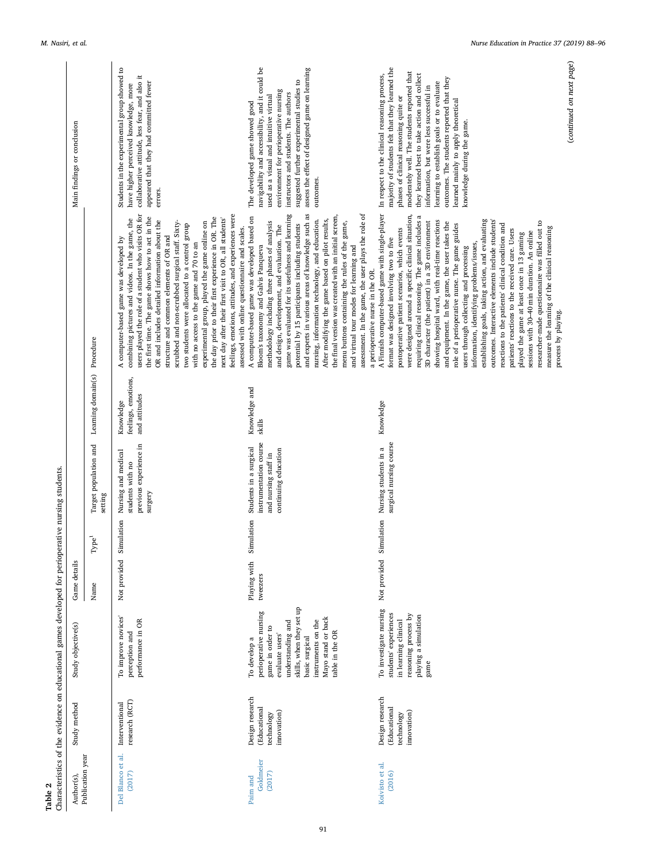<span id="page-3-0"></span>

| Publication year<br>Author(s),  | Study method                                                       | Study objective(s)                                                                                                                                                                                            | Game details             |                       |                                                                                                  |                                                   |                                                                                                                                                                                                                                                                                                                                                                                                                                                                                                                                                                                                                                                                                                                                                                                                                                                                                                                                                                                                       | Main findings or conclusion                                                                                                                                                                                                                                                                                                                                                                                                                          |
|---------------------------------|--------------------------------------------------------------------|---------------------------------------------------------------------------------------------------------------------------------------------------------------------------------------------------------------|--------------------------|-----------------------|--------------------------------------------------------------------------------------------------|---------------------------------------------------|-------------------------------------------------------------------------------------------------------------------------------------------------------------------------------------------------------------------------------------------------------------------------------------------------------------------------------------------------------------------------------------------------------------------------------------------------------------------------------------------------------------------------------------------------------------------------------------------------------------------------------------------------------------------------------------------------------------------------------------------------------------------------------------------------------------------------------------------------------------------------------------------------------------------------------------------------------------------------------------------------------|------------------------------------------------------------------------------------------------------------------------------------------------------------------------------------------------------------------------------------------------------------------------------------------------------------------------------------------------------------------------------------------------------------------------------------------------------|
|                                 |                                                                    |                                                                                                                                                                                                               | Name                     | ٦ <sub>e</sub><br>Fур | Target population and<br>setting                                                                 | Learning domain(s) Procedure                      |                                                                                                                                                                                                                                                                                                                                                                                                                                                                                                                                                                                                                                                                                                                                                                                                                                                                                                                                                                                                       |                                                                                                                                                                                                                                                                                                                                                                                                                                                      |
| Del Blanco et al.<br>(2017)     | research (RCT)<br>Interventional                                   | To improve novices'<br>performance in OR<br>perception and                                                                                                                                                    | Not provided             | Simulation            | previous experience in<br>Nursing and medical<br>students with no<br>surgery                     | feelings, emotions,<br>and attitudes<br>Knowledge | users played the role of a student who visits OR for<br>feelings, emotions, attitudes, and experiences were<br>the first time. The game shows how to act in the<br>the day prior to their first experience in OR. The<br>next day after their first visit to OR, all students'<br>combining pictures and videos. In the game, the<br>OR and includes detailed information about the<br>scrubbed and non-scrubbed surgical staff. Sixty-<br>experimental group, played the game online on<br>two students were allocated to a control group<br>assessed with online questionnaire and scales.<br>structure and common elements of OR and<br>A computer-based game was developed by<br>with no access to the game and 70 to an                                                                                                                                                                                                                                                                          | Students in the experimental group showed to<br>collaborative attitude, less fear, and also it<br>appeared that they had committed fewer<br>have higher perceived knowledge, more<br>errors.                                                                                                                                                                                                                                                         |
| Goldmeier<br>(2017)<br>Paim and | Design research<br><b>Educational</b><br>innovation)<br>technology | skills, when they set up<br>perioperative nursing<br>Mayo stand or back<br>instruments on the<br>understanding and<br>game in order to<br>table in the OR<br>evaluate users<br>basic surgical<br>To develop a | Playing with<br>tweezers | Simulation            | instrumentation course<br>Students in a surgical<br>continuing education<br>and nursing staff in | Knowledge and<br>skills                           | and experts in various areas of knowledge such as<br>assessment. In the game, the user plays the role of<br>game was evaluated for its usefulness and learning<br>the final version was created with an initial screen,<br>A computer-based game was developed based on<br>nursing, information technology, and education.<br>After modifying the game based on pilot results,<br>menu buttons containing the rules of the game,<br>methodology including three phases of analysis<br>potential by 15 participants including students<br>and design, development, and evaluation. The<br>and virtual tour modes for learning and<br>Bloom's taxonomy and Galvis Panqueva<br>a perioperative nurse in the OR.                                                                                                                                                                                                                                                                                          | navigability and accessibility, and it could be<br>assess the effect of designed game on learning<br>suggested further experimental studies to<br>environment for perioperative nursing<br>instructors and students. The authors<br>used as a visual and intuitive virtual<br>The developed game showed good<br>outcomes.                                                                                                                            |
| Koivisto et al.<br>(2016)       | Design research<br><b>Educational</b><br>innovation)<br>technology | To investigate nursing<br>students' experiences<br>reasoning process by<br>playing a simulation<br>in learning clinical<br>game                                                                               | Not provided             | Simulation            | surgical nursing course<br>Nursing students in a                                                 | Knowledge                                         | A Finnish computer-based game with single-player<br>were designed around a specific clinical situation,<br>requiring clinical reasoning. The game includes a<br>establishing goals, taking action, and evaluating<br>outcomes. Interactive elements include students'<br>showing hospital ward, with real-time reactions<br>3D character (the patient) in a 3D environment<br>researcher-made questionnaire was filled out to<br>and equipment. In the game, the user takes the<br>reactions to the patients' clinical condition and<br>role of a perioperative nurse. The game guides<br>measure the learning of the clinical reasoning<br>postoperative patient scenarios, which events<br>patients' reactions to the received care. Users<br>sessions with 30-40 min duration. An online<br>played the game at least once in 13 gaming<br>format was designed involving two to five<br>information, identifying problems/issues,<br>users through collecting and processing<br>process by playing. | majority of students felt that they learned the<br>moderately well. The students reported that<br>they learned best to take action and collect<br>In respect to the clinical reasoning process,<br>outcomes. The students reported that they<br>learning to establish goals or to evaluate<br>information, but were less successful in<br>phases of clinical reasoning quite or<br>learned mainly to apply theoretical<br>knowledge during the game. |

Table 2<br>Characteristics of the evidence on educational games developed for perioperative nursing students. Characteristics of the evidence on educational games developed for perioperative nursing students.

(*continued on next page*)

(continued on next page)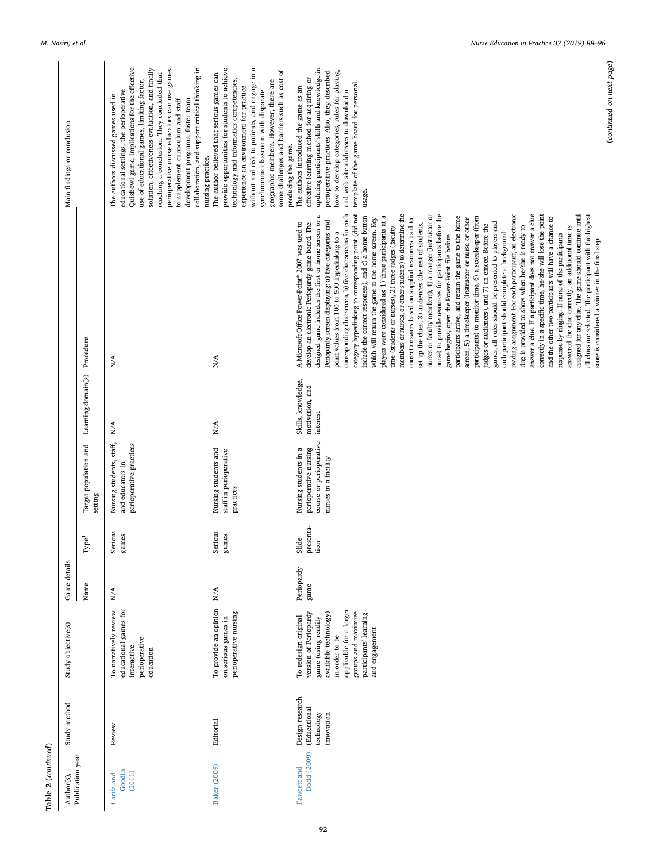| Publication year<br>Author(s), | Study method                                                       | Study objective(s)                                                                                                                                                                                            | Game details            |                            |                                                                                                   |                                                   |                                                                                                                                                                                                                                                                                                                                                                                                                                                                                                                                                                                                                                                                                                                                                                                                                                                                                                                                                                                                                                                                                                                                                                                                                                                                                                                                                                                                                                                                                                                                                                                                                                                                                                                                                                                                                                                                                                             | Main findings or conclusion                                                                                                                                                                                                                                                                                                                                                                                                                                                      |
|--------------------------------|--------------------------------------------------------------------|---------------------------------------------------------------------------------------------------------------------------------------------------------------------------------------------------------------|-------------------------|----------------------------|---------------------------------------------------------------------------------------------------|---------------------------------------------------|-------------------------------------------------------------------------------------------------------------------------------------------------------------------------------------------------------------------------------------------------------------------------------------------------------------------------------------------------------------------------------------------------------------------------------------------------------------------------------------------------------------------------------------------------------------------------------------------------------------------------------------------------------------------------------------------------------------------------------------------------------------------------------------------------------------------------------------------------------------------------------------------------------------------------------------------------------------------------------------------------------------------------------------------------------------------------------------------------------------------------------------------------------------------------------------------------------------------------------------------------------------------------------------------------------------------------------------------------------------------------------------------------------------------------------------------------------------------------------------------------------------------------------------------------------------------------------------------------------------------------------------------------------------------------------------------------------------------------------------------------------------------------------------------------------------------------------------------------------------------------------------------------------------|----------------------------------------------------------------------------------------------------------------------------------------------------------------------------------------------------------------------------------------------------------------------------------------------------------------------------------------------------------------------------------------------------------------------------------------------------------------------------------|
|                                |                                                                    |                                                                                                                                                                                                               | Name                    | ്ള<br>P                    | Target population and<br>setting                                                                  | Learning domain(s) Procedure                      |                                                                                                                                                                                                                                                                                                                                                                                                                                                                                                                                                                                                                                                                                                                                                                                                                                                                                                                                                                                                                                                                                                                                                                                                                                                                                                                                                                                                                                                                                                                                                                                                                                                                                                                                                                                                                                                                                                             |                                                                                                                                                                                                                                                                                                                                                                                                                                                                                  |
| Goodin<br>(2011)<br>Carifa and | Review                                                             | To narratively review<br>educational games for<br>perioperative<br>interactive<br>education                                                                                                                   | $\mathbf{N}/\mathbf{A}$ | Serious<br>games           | Nursing students, staff,<br>perioperative practices<br>and educators in                           | N/A                                               | N/A                                                                                                                                                                                                                                                                                                                                                                                                                                                                                                                                                                                                                                                                                                                                                                                                                                                                                                                                                                                                                                                                                                                                                                                                                                                                                                                                                                                                                                                                                                                                                                                                                                                                                                                                                                                                                                                                                                         | Quizbowl game, implications for the effective<br>solution, effectiveness evaluation, and finally<br>collaboration, and support critical thinking in<br>perioperative nurse educators can use games<br>reaching a conclusion. They concluded that<br>use of educational games, limiting factor,<br>educational settings, the perioperative<br>The authors discussed games used in<br>to supplement curriculum and staff<br>development programs, foster team<br>nursing practice. |
| <b>Baker</b> (2009)            | Editorial                                                          | To provide an opinion<br>perioperative nursing<br>on serious games in                                                                                                                                         | $\mathbf{N}/\mathbf{A}$ | Serious<br>games           | Nursing students and<br>staff in perioperative<br>practices                                       | N/A                                               | N/A                                                                                                                                                                                                                                                                                                                                                                                                                                                                                                                                                                                                                                                                                                                                                                                                                                                                                                                                                                                                                                                                                                                                                                                                                                                                                                                                                                                                                                                                                                                                                                                                                                                                                                                                                                                                                                                                                                         | without real risk to patients, and engage in a<br>provide opportunities for students to achieve<br>some challenges and barriers such as cost of<br>The author believed that serious games can<br>technology and informatics competencies,<br>geographic members. However, there are<br>experience an environment for practice<br>synchronous classroom with disparate<br>producing the game.                                                                                     |
| Dodd (2009)<br>Fawcett and     | Design research<br><b>(Educational</b><br>technology<br>innovation | applicable for a larger<br>groups and maximize<br>version of Periopardy<br>available technology)<br>participants' learning<br>To redesign original<br>game (using readily<br>and engagement<br>in order to be | Periopardy<br>game      | presenta-<br>Slide<br>tion | course or perioperative<br>Nursing students in a<br>perioperative nursing<br>nurses in a facility | Skills, knowledge,<br>motivation, and<br>interest | corresponding clue screen, b) five clue screens for each<br>answer a clue. If a participant does not answer a clue<br>category hyperlinking to corresponding point (did not<br>members or nurses, or other students) to determine the<br>nurse) to provide resources for participants before the<br>reading assignment. For each participant, an electronic<br>$\approx$<br>nurses or faculty members), 4) a manger (instructor or<br>correctly in a specific time, he/she will lose the point<br>assigned for any clue. The game should continue until<br>all clues are selected. The participant with the highest<br>participants arrive, and return the game to the home<br>include the correct responses), and c) a home button<br>players were considered as: 1) three participants at a<br>participants) to monitor time, 6) a scorekeeper (from<br>and the other two participants will have a chance to<br>which will return the game to the home screen. Key<br>correct answers based on supplied resources used to<br>screen, 5) a timekeeper (instructor or nurse or other<br>Periopardy screen displaying: a) five categories and<br>designed game includes the first or home screen or<br>games, all rules should be presented to players and<br>A Microsoft Office Power-Point® 2007 was used to<br>develop an electronic Periopardy game board. The<br>set up the clues, 3) audiences (the rest of students,<br>judges or audiences), and 7) an emcee. Before the<br>ring is provided to show when he/she is ready to<br>answered the clue correctly, an additional time is<br>time (students or nurses), 2) three judges (faculty<br>point values from 100 to 500 hyperlinking to a<br>each participant should complete a background<br>response by ringing. If none of the participants<br>game begins, open the Power-Point file before<br>score is considered a winner in the final step. | updating participants' skills and knowledge in<br>perioperative practices. Also, they described<br>how to develop categories, rules for playing,<br>effective learning method for acquiring or<br>template of the game board for personal<br>The authors introduced the game as an<br>and web site addresses to download a<br>usage.                                                                                                                                             |

(*continued on next page*)

(continued on next page)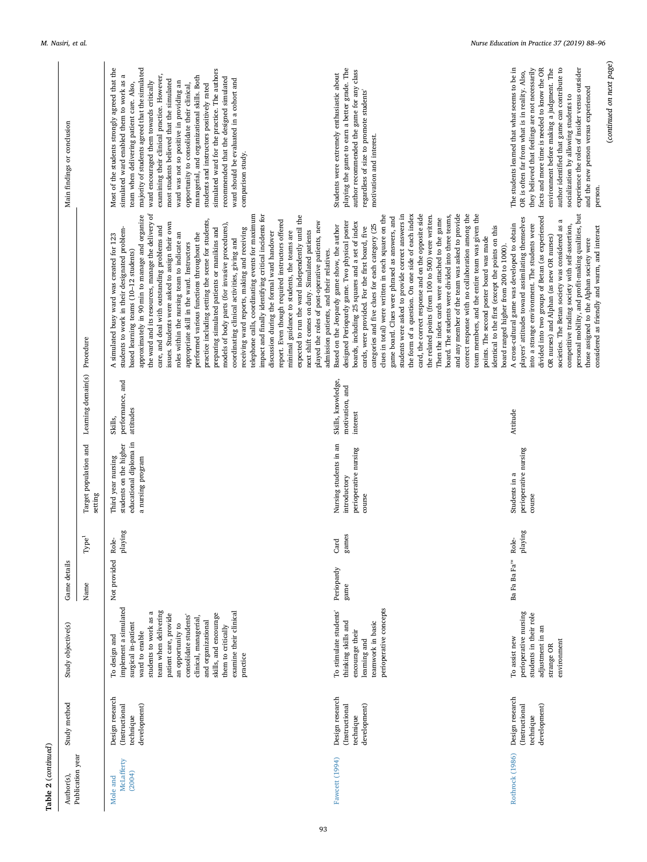| Author(s),                       | Study method                                                   | Study objective(s)                                                                                                                                                                                                                                                                                                                          | Game details              |                               |                                                                                             |                                                   |                                                                                                                                                                                                                                                                                                                                                                                                                                                                                                                                                                                                                                                                                                                                                                                                                                                                                                                                                                                                                                                                                                                                                                                                                       | Main findings or conclusion                                                                                                                                                                                                                                                                                                                                                                                                                                                                                                                                                                                                                                                      |
|----------------------------------|----------------------------------------------------------------|---------------------------------------------------------------------------------------------------------------------------------------------------------------------------------------------------------------------------------------------------------------------------------------------------------------------------------------------|---------------------------|-------------------------------|---------------------------------------------------------------------------------------------|---------------------------------------------------|-----------------------------------------------------------------------------------------------------------------------------------------------------------------------------------------------------------------------------------------------------------------------------------------------------------------------------------------------------------------------------------------------------------------------------------------------------------------------------------------------------------------------------------------------------------------------------------------------------------------------------------------------------------------------------------------------------------------------------------------------------------------------------------------------------------------------------------------------------------------------------------------------------------------------------------------------------------------------------------------------------------------------------------------------------------------------------------------------------------------------------------------------------------------------------------------------------------------------|----------------------------------------------------------------------------------------------------------------------------------------------------------------------------------------------------------------------------------------------------------------------------------------------------------------------------------------------------------------------------------------------------------------------------------------------------------------------------------------------------------------------------------------------------------------------------------------------------------------------------------------------------------------------------------|
| Publication year                 |                                                                |                                                                                                                                                                                                                                                                                                                                             | Name                      | $\mathbf{R}^1$<br>À           | Target population and<br>setting                                                            | Learning domain(s)                                | Procedure                                                                                                                                                                                                                                                                                                                                                                                                                                                                                                                                                                                                                                                                                                                                                                                                                                                                                                                                                                                                                                                                                                                                                                                                             |                                                                                                                                                                                                                                                                                                                                                                                                                                                                                                                                                                                                                                                                                  |
| McLafferty<br>(2004)<br>Mole and | Design research<br>(Instructional<br>development)<br>technique | implement a simulated<br>team when delivering<br>students to work as a<br>examine their clinical<br>patient care, provide<br>skills, and encourage<br>consolidate students'<br>clinical, managerial,<br>and organizational<br>surgical in-patient<br>an opportunity to<br>them to critically<br>ward to enable<br>To design and<br>practice | Not provided              | $\bold{p}$ laying<br>ہے<br>Ro | educational diploma in<br>students on the higher<br>Third year nursing<br>a nursing program | performance, and<br>attitudes<br>Skills,          | the ward and its resources, manage the delivery of<br>telephone calls, coordinating events for maximum<br>impact and finally identifying critical incidents for<br>approximately in 90 min to manage and organize<br>expected to run the ward independently until the<br>practice including setting the scene for students,<br>report. Even though required instructors offered<br>played the roles of post-operative patients, new<br>issues. Students were asked to assign their own<br>models of body parts (for invasive procedures),<br>care, and deal with outstanding problems and<br>students to work in their designated problem-<br>preparing simulated patients or manikins and<br>receiving ward reports, making and receiving<br>next shift comes on duty. Simulated patients<br>minimal guidance to students, the teams are<br>discussion during the formal ward handover<br>roles within the nursing team to indicate an<br>performed various functions throughout the<br>A simulated busy ward was created for 123<br>coordinating clinical activities, giving and<br>appropriate skill in the ward. Instructors<br>admission patients, and their relatives.<br>based learning teams (10-12 students) | Most of the students strongly agreed that the<br>majority of students agreed that the simulated<br>simulated ward for the practice. The authors<br>simulated ward enabled them to work as a<br>examining their clinical practice. However,<br>managerial, and organizational skills. Both<br>recommended that the designed simulated<br>ward should be evaluated in a cohort and<br>most students believed that the simulated<br>ward encouraged them towards critically<br>ward was not so positive in providing an<br>team when delivering patient care. Also,<br>opportunity to consolidate their clinical,<br>students and instructors positively rated<br>comparison study. |
| Fawcett (1994)                   | Design research<br>(Instructional<br>development)<br>technique | perioperative concepts<br>To stimulate students'<br>thinking skills and<br>teamwork in basic<br>encourage their<br>learning and                                                                                                                                                                                                             | Periopardy<br>game        | games<br>Card                 | Nursing students in an<br>perioperative nursing<br>introductory<br>course                   | Skills, knowledge,<br>motivation, and<br>interest | and any member of the team was asked to provide<br>the form of a question. On one side of each index<br>card, the correct response and on the opposite side<br>correct response with no collaboration among the<br>team members, and the entire team was given the<br>clues in total) were written in each square on the<br>students were asked to provide correct answers in<br>the related points (from 100 to 500) were written.<br>board. The students were divided into three teams,<br>game board. Clues were phrased as answers, and<br>Then the index cards were attached to the game<br>designed Periopardy game. Two physical poster<br>boards, including 25 squares and a set of index<br>categories and five clues for each category (25<br>Based on the Jeopardy game show, the author<br>cards, were provided. For the first board, five<br>identical to the first (except the points on this<br>points. The second poster board was made<br>board ranged higher from 200 to 1000).                                                                                                                                                                                                                     | playing the game to earn a better grade. The<br>author recommended the game for any class<br>Students were extremely enthusiastic about<br>regardless of size to promote students'<br>motivation and interest.                                                                                                                                                                                                                                                                                                                                                                                                                                                                   |
| Rothrock (1986)                  | Design research<br>development)<br>(Instructional<br>technique | perioperative nursing<br>students in their role<br>adjustment in an<br>To assist new<br>environment<br>strange OR                                                                                                                                                                                                                           | Ba Fa Ba Fa <sup>ns</sup> | playing<br>Role-              | perioperative nursing<br>Students in a<br>course                                            | Attitude                                          | personal mobility, and profit-making qualities, but<br>divided into two groups of Betan (as experienced<br>players' attitudes toward assimilating themselves<br>$\approx$<br>A cross-cultural game was developed to obtain<br>into a strange environment. The students were<br>competitive trading society with self-assertion,<br>societies. The Betan society was considered as<br>considered as friendly and warm, and interact<br>OR nurses) and Alphan (as new OR nurses)<br>those assigned to the Alphan society were                                                                                                                                                                                                                                                                                                                                                                                                                                                                                                                                                                                                                                                                                           | (continued on next page)<br>experience the roles of insider versus outsider<br>The students learned that what seems to be in<br>author identified that game can contribute to<br>they believed that feelings are not necessarily<br>facts and more time is needed to know the OR<br>environment before making a judgment. The<br>OR is often far from what is in reality. Also,<br>and the new person versus experienced<br>socialization by allowing students to<br>person.                                                                                                                                                                                                     |

**Table 2** (*continued*)

Table 2 (continued)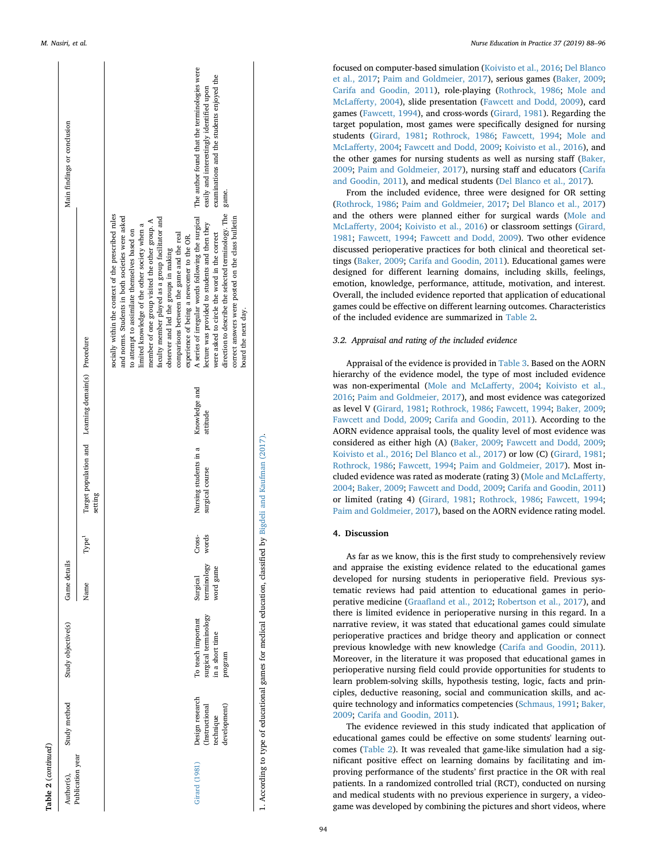| .continue           |
|---------------------|
|                     |
|                     |
|                     |
|                     |
| ี                   |
|                     |
|                     |
|                     |
|                     |
|                     |
| ω                   |
|                     |
|                     |
|                     |
|                     |
| ō                   |
|                     |
|                     |
|                     |
|                     |
|                     |
|                     |
| $\overline{a}$<br>ŕ |

| able 2 (continued)             |                                                                |                                                                          |                                      |                   |                                                               |                           |                                                                                                                                                                                                                                                                                                                                                                                                                                                                                                                                                                                                                                                                                                                                              |                                                                                                                                                |
|--------------------------------|----------------------------------------------------------------|--------------------------------------------------------------------------|--------------------------------------|-------------------|---------------------------------------------------------------|---------------------------|----------------------------------------------------------------------------------------------------------------------------------------------------------------------------------------------------------------------------------------------------------------------------------------------------------------------------------------------------------------------------------------------------------------------------------------------------------------------------------------------------------------------------------------------------------------------------------------------------------------------------------------------------------------------------------------------------------------------------------------------|------------------------------------------------------------------------------------------------------------------------------------------------|
| Publication year<br>Author(s), | Study method                                                   | Study objective(s)                                                       | Game details                         |                   |                                                               |                           |                                                                                                                                                                                                                                                                                                                                                                                                                                                                                                                                                                                                                                                                                                                                              | Main findings or conclusion                                                                                                                    |
|                                |                                                                |                                                                          | Name                                 | Type <sup>1</sup> | Target population and Learning domain(s) Procedure<br>setting |                           |                                                                                                                                                                                                                                                                                                                                                                                                                                                                                                                                                                                                                                                                                                                                              |                                                                                                                                                |
| Girard (1981)                  | Design research<br>development)<br>(Instructional<br>technique | surgical terminology<br>in a short time<br>To teach important<br>program | terminology<br>word game<br>Surgical | words<br>Cross-   | Nursing students in a<br>surgical course                      | Knowledge and<br>attitude | direction to describe the selected terminology. The<br>socially within the context of the prescribed rules<br>A series of irregular words following the surgical<br>and norms. Students in both societies were asked<br>correct answers were posted on the class bulletin<br>faculty member played as a group facilitator and<br>member of one group visited the other group. A<br>lecture was provided to students and then they<br>limited knowledge of the other society when a<br>to attempt to assimilate themselves based on<br>were asked to circle the word in the correct<br>comparisons between the game and the real<br>experience of being a newcomer to the OR.<br>observer and led the groups in making<br>board the next day. | The author found that the terminologies were<br>examinations and the students enjoyed the<br>easily and interestingly identified upon<br>game. |
|                                |                                                                |                                                                          |                                      |                   |                                                               |                           |                                                                                                                                                                                                                                                                                                                                                                                                                                                                                                                                                                                                                                                                                                                                              |                                                                                                                                                |

1. According to type of educational games for medical education, classified by Bigdeli and [Kaufman](#page-8-5) (2017). 1. According to type of educational games for medical education, classified by Bigdeli and Kaufman (2017)

focused on computer-based simulation [\(Koivisto et al., 2016](#page-8-21) ; [Del Blanco](#page-8-18) [et al., 2017](#page-8-18) ; [Paim and Goldmeier, 2017\)](#page-8-22), serious games [\(Baker, 2009](#page-8-27) ; [Carifa and Goodin, 2011\)](#page-8-14), role-playing [\(Rothrock, 1986](#page-8-24) ; [Mole and](#page-8-26) [McLafferty, 2004\)](#page-8-26), slide presentation [\(Fawcett and Dodd, 2009](#page-8-20)), card games [\(Fawcett, 1994\)](#page-8-25), and cross-words ([Girard, 1981](#page-8-23)). Regarding the target population, most games were specifically designed for nursing students ([Girard, 1981](#page-8-23) ; [Rothrock, 1986](#page-8-24) ; [Fawcett, 1994](#page-8-25) ; [Mole and](#page-8-26) [McLafferty, 2004](#page-8-26) ; [Fawcett and Dodd, 2009](#page-8-20) ; [Koivisto et al., 2016\)](#page-8-21), and the other games for nursing students as well as nursing staff [\(Baker,](#page-8-27) [2009](#page-8-27) ; [Paim and Goldmeier, 2017\)](#page-8-22), nursing staff and educators [\(Carifa](#page-8-14) [and Goodin, 2011\)](#page-8-14), and medical students ([Del Blanco et al., 2017](#page-8-18)).

From the included evidence, three were designed for OR setting ([Rothrock, 1986](#page-8-24) ; [Paim and Goldmeier, 2017](#page-8-22) ; [Del Blanco et al., 2017](#page-8-18) ) and the others were planned either for surgical wards [\(Mole and](#page-8-26) [McLafferty, 2004](#page-8-26); [Koivisto et al., 2016\)](#page-8-21) or classroom settings ([Girard,](#page-8-23) [1981](#page-8-23); [Fawcett, 1994](#page-8-25); [Fawcett and Dodd, 2009](#page-8-20)). Two other evidence discussed perioperative practices for both clinical and theoretical settings [\(Baker, 2009;](#page-8-27) [Carifa and Goodin, 2011\)](#page-8-14). Educational games were designed for different learning domains, including skills, feelings, emotion, knowledge, performance, attitude, motivation, and interest. Overall, the included evidence reported that application of educational games could be effective on different learning outcomes. Characteristics of the included evidence are summarized in [Table 2](#page-3-0) .

## *3.2. Appraisal and rating of the included evidence*

Appraisal of the evidence is provided in [Table 3](#page-7-0). Based on the AORN hierarchy of the evidence model, the type of most included evidence was non-experimental ([Mole and McLafferty, 2004](#page-8-26); [Koivisto et al.,](#page-8-21) [2016](#page-8-21) ; [Paim and Goldmeier, 2017\)](#page-8-22), and most evidence was categorized as level V ([Girard, 1981](#page-8-23); [Rothrock, 1986](#page-8-24); [Fawcett, 1994](#page-8-25); [Baker, 2009](#page-8-27); [Fawcett and Dodd, 2009](#page-8-20) ; [Carifa and Goodin, 2011](#page-8-14)). According to the AORN evidence appraisal tools, the quality level of most evidence was considered as either high (A) ([Baker, 2009](#page-8-27) ; [Fawcett and Dodd, 2009](#page-8-20) ; [Koivisto et al., 2016](#page-8-21); [Del Blanco et al., 2017](#page-8-18)) or low (C) [\(Girard, 1981](#page-8-23); [Rothrock, 1986](#page-8-24) ; [Fawcett, 1994](#page-8-25) ; [Paim and Goldmeier, 2017\)](#page-8-22). Most included evidence was rated as moderate (rating 3) ([Mole and McLafferty,](#page-8-26) [2004](#page-8-26) ; [Baker, 2009](#page-8-27) ; [Fawcett and Dodd, 2009](#page-8-20) ; [Carifa and Goodin, 2011](#page-8-14) ) or limited (rating 4) ([Girard, 1981](#page-8-23) ; [Rothrock, 1986](#page-8-24) ; [Fawcett, 1994](#page-8-25) ; [Paim and Goldmeier, 2017](#page-8-22)), based on the AORN evidence rating model.

## **4. Discussion**

As far as we know, this is the first study to comprehensively review and appraise the existing evidence related to the educational games developed for nursing students in perioperative field. Previous systematic reviews had paid attention to educational games in perioperative medicine ([Graafland et al., 2012](#page-8-28); [Robertson et al., 2017\)](#page-8-29), and there is limited evidence in perioperative nursing in this regard. In a narrative review, it was stated that educational games could simulate perioperative practices and bridge theory and application or connect previous knowledge with new knowledge ([Carifa and Goodin, 2011](#page-8-14)). Moreover, in the literature it was proposed that educational games in perioperative nursing field could provide opportunities for students to learn problem-solving skills, hypothesis testing, logic, facts and principles, deductive reasoning, social and communication skills, and acquire technology and informatics competencies ([Schmaus, 1991;](#page-8-30) [Baker,](#page-8-27) [2009](#page-8-27) ; [Carifa and Goodin, 2011\)](#page-8-14).

The evidence reviewed in this study indicated that application of educational games could be effective on some students' learning outcomes [\(Table 2](#page-3-0)). It was revealed that game-like simulation had a significant positive effect on learning domains by facilitating and improving performance of the students' first practice in the OR with real patients. In a randomized controlled trial (RCT), conducted on nursing and medical students with no previous experience in surgery, a videogame was developed by combining the pictures and short videos, where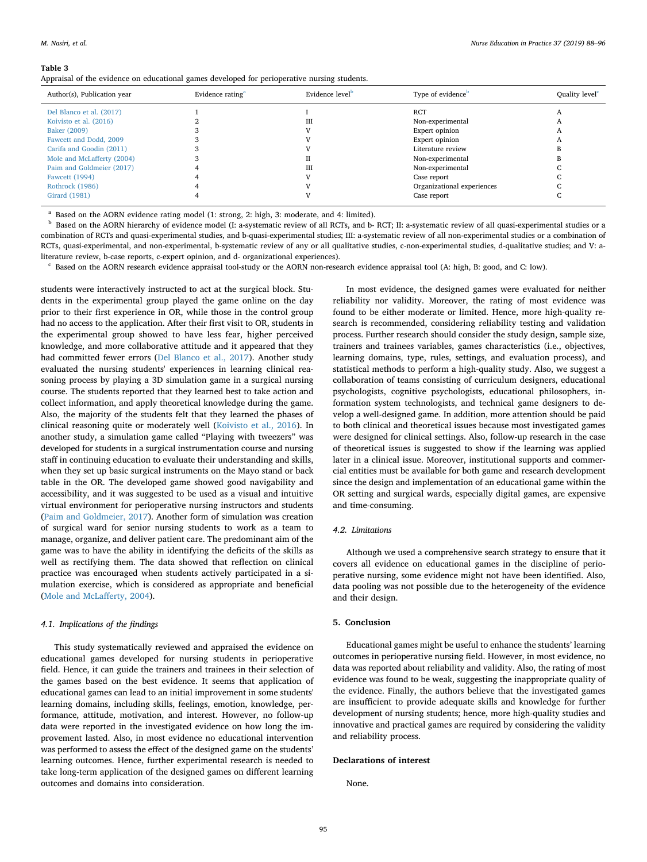#### <span id="page-7-0"></span>**Table 3**

Appraisal of the evidence on educational games developed for perioperative nursing students.

| Evidence rating <sup>a</sup> | Evidence level <sup>b</sup> | Type of evidence <sup>b</sup> | Quality level <sup>c</sup> |
|------------------------------|-----------------------------|-------------------------------|----------------------------|
|                              |                             | <b>RCT</b>                    |                            |
|                              | Ш                           | Non-experimental              |                            |
|                              |                             | Expert opinion                |                            |
|                              |                             | Expert opinion                |                            |
|                              |                             | Literature review             |                            |
|                              |                             | Non-experimental              |                            |
|                              | Ш                           | Non-experimental              |                            |
|                              |                             | Case report                   |                            |
|                              |                             | Organizational experiences    |                            |
|                              |                             | Case report                   |                            |
|                              |                             |                               |                            |

<span id="page-7-1"></span>Based on the AORN evidence rating model (1: strong, 2: high, 3: moderate, and 4: limited).

<span id="page-7-2"></span><sup>b</sup> Based on the AORN hierarchy of evidence model (I: a-systematic review of all RCTs, and b- RCT; II: a-systematic review of all quasi-experimental studies or a combination of RCTs and quasi-experimental studies, and b-quasi-experimental studies; III: a-systematic review of all non-experimental studies or a combination of RCTs, quasi-experimental, and non-experimental, b-systematic review of any or all qualitative studies, c-non-experimental studies, d-qualitative studies; and V: aliterature review, b-case reports, c-expert opinion, and d- organizational experiences).

<span id="page-7-3"></span><sup>c</sup> Based on the AORN research evidence appraisal tool-study or the AORN non-research evidence appraisal tool (A: high, B: good, and C: low).

students were interactively instructed to act at the surgical block. Students in the experimental group played the game online on the day prior to their first experience in OR, while those in the control group had no access to the application. After their first visit to OR, students in the experimental group showed to have less fear, higher perceived knowledge, and more collaborative attitude and it appeared that they had committed fewer errors [\(Del Blanco et al., 2017](#page-8-18)). Another study evaluated the nursing students' experiences in learning clinical reasoning process by playing a 3D simulation game in a surgical nursing course. The students reported that they learned best to take action and collect information, and apply theoretical knowledge during the game. Also, the majority of the students felt that they learned the phases of clinical reasoning quite or moderately well ([Koivisto et al., 2016](#page-8-21)). In another study, a simulation game called "Playing with tweezers" was developed for students in a surgical instrumentation course and nursing staff in continuing education to evaluate their understanding and skills, when they set up basic surgical instruments on the Mayo stand or back table in the OR. The developed game showed good navigability and accessibility, and it was suggested to be used as a visual and intuitive virtual environment for perioperative nursing instructors and students ([Paim and Goldmeier, 2017](#page-8-22)). Another form of simulation was creation of surgical ward for senior nursing students to work as a team to manage, organize, and deliver patient care. The predominant aim of the game was to have the ability in identifying the deficits of the skills as well as rectifying them. The data showed that reflection on clinical practice was encouraged when students actively participated in a simulation exercise, which is considered as appropriate and beneficial ([Mole and McLafferty, 2004\)](#page-8-26).

#### *4.1. Implications of the findings*

This study systematically reviewed and appraised the evidence on educational games developed for nursing students in perioperative field. Hence, it can guide the trainers and trainees in their selection of the games based on the best evidence. It seems that application of educational games can lead to an initial improvement in some students' learning domains, including skills, feelings, emotion, knowledge, performance, attitude, motivation, and interest. However, no follow-up data were reported in the investigated evidence on how long the improvement lasted. Also, in most evidence no educational intervention was performed to assess the effect of the designed game on the students' learning outcomes. Hence, further experimental research is needed to take long-term application of the designed games on different learning outcomes and domains into consideration.

In most evidence, the designed games were evaluated for neither reliability nor validity. Moreover, the rating of most evidence was found to be either moderate or limited. Hence, more high-quality research is recommended, considering reliability testing and validation process. Further research should consider the study design, sample size, trainers and trainees variables, games characteristics (i.e., objectives, learning domains, type, rules, settings, and evaluation process), and statistical methods to perform a high-quality study. Also, we suggest a collaboration of teams consisting of curriculum designers, educational psychologists, cognitive psychologists, educational philosophers, information system technologists, and technical game designers to develop a well-designed game. In addition, more attention should be paid to both clinical and theoretical issues because most investigated games were designed for clinical settings. Also, follow-up research in the case of theoretical issues is suggested to show if the learning was applied later in a clinical issue. Moreover, institutional supports and commercial entities must be available for both game and research development since the design and implementation of an educational game within the OR setting and surgical wards, especially digital games, are expensive and time-consuming.

#### *4.2. Limitations*

Although we used a comprehensive search strategy to ensure that it covers all evidence on educational games in the discipline of perioperative nursing, some evidence might not have been identified. Also, data pooling was not possible due to the heterogeneity of the evidence and their design.

## **5. Conclusion**

Educational games might be useful to enhance the students' learning outcomes in perioperative nursing field. However, in most evidence, no data was reported about reliability and validity. Also, the rating of most evidence was found to be weak, suggesting the inappropriate quality of the evidence. Finally, the authors believe that the investigated games are insufficient to provide adequate skills and knowledge for further development of nursing students; hence, more high-quality studies and innovative and practical games are required by considering the validity and reliability process.

#### **Declarations of interest**

None.